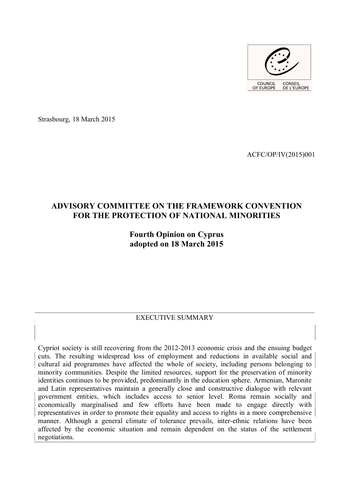

Strasbourg, 18 March 2015

ACFC/OP/IV(2015)001

# **ADVISORY COMMITTEE ON THE FRAMEWORK CONVENTION FOR THE PROTECTION OF NATIONAL MINORITIES**

# **Fourth Opinion on Cyprus adopted on 18 March 2015**

#### EXECUTIVE SUMMARY

Cypriot society is still recovering from the 2012-2013 economic crisis and the ensuing budget cuts. The resulting widespread loss of employment and reductions in available social and cultural aid programmes have affected the whole of society, including persons belonging to minority communities. Despite the limited resources, support for the preservation of minority identities continues to be provided, predominantly in the education sphere. Armenian, Maronite and Latin representatives maintain a generally close and constructive dialogue with relevant government entities, which includes access to senior level. Roma remain socially and economically marginalised and few efforts have been made to engage directly with representatives in order to promote their equality and access to rights in a more comprehensive manner. Although a general climate of tolerance prevails, inter-ethnic relations have been affected by the economic situation and remain dependent on the status of the settlement negotiations.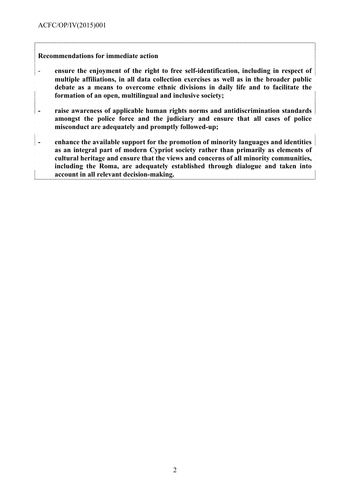## **Recommendations for immediate action**

- **ensure the enjoyment of the right to free self-identification, including in respect of multiple affiliations, in all data collection exercises as well as in the broader public debate as a means to overcome ethnic divisions in daily life and to facilitate the formation of an open, multilingual and inclusive society;**
- **- raise awareness of applicable human rights norms and antidiscrimination standards amongst the police force and the judiciary and ensure that all cases of police misconduct are adequately and promptly followed-up;**
- **- enhance the available support for the promotion of minority languages and identities as an integral part of modern Cypriot society rather than primarily as elements of cultural heritage and ensure that the views and concerns of all minority communities, including the Roma, are adequately established through dialogue and taken into account in all relevant decision-making.**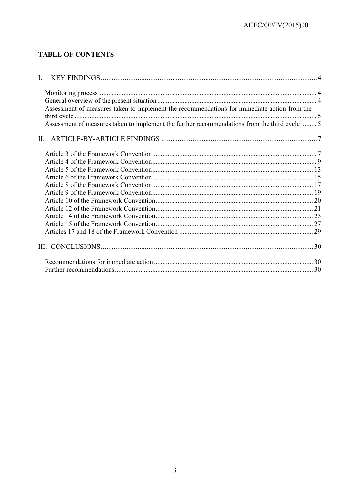# **TABLE OF CONTENTS**

| $\mathbf{I}$ . |                                                                                               |  |
|----------------|-----------------------------------------------------------------------------------------------|--|
|                |                                                                                               |  |
|                |                                                                                               |  |
|                | Assessment of measures taken to implement the recommendations for immediate action from the   |  |
|                | Assessment of measures taken to implement the further recommendations from the third cycle  5 |  |
|                |                                                                                               |  |
|                |                                                                                               |  |
|                |                                                                                               |  |
|                |                                                                                               |  |
|                |                                                                                               |  |
|                |                                                                                               |  |
|                |                                                                                               |  |
|                |                                                                                               |  |
|                |                                                                                               |  |
|                |                                                                                               |  |
|                |                                                                                               |  |
|                |                                                                                               |  |
|                |                                                                                               |  |
|                |                                                                                               |  |
|                |                                                                                               |  |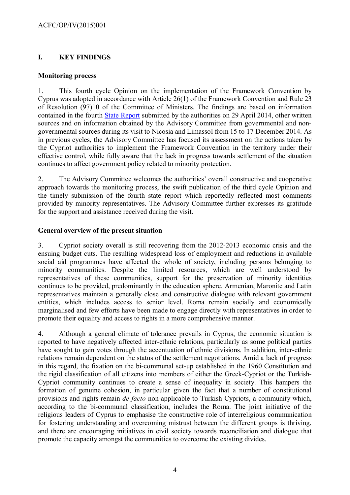# <span id="page-3-2"></span>**I. KEY FINDINGS**

## <span id="page-3-1"></span>**Monitoring process**

1. This fourth cycle Opinion on the implementation of the Framework Convention by Cyprus was adopted in accordance with Article 26(1) of the Framework Convention and Rule 23 of Resolution (97)10 of the Committee of Ministers. The findings are based on information contained in the fourth [State Report](http://www.coe.int/t/dghl/monitoring/minorities/3_FCNMdocs/PDF_4th_SR_Cyprus_en.pdf) submitted by the authorities on 29 April 2014, other written sources and on information obtained by the Advisory Committee from governmental and nongovernmental sources during its visit to Nicosia and Limassol from 15 to 17 December 2014. As in previous cycles, the Advisory Committee has focused its assessment on the actions taken by the Cypriot authorities to implement the Framework Convention in the territory under their effective control, while fully aware that the lack in progress towards settlement of the situation continues to affect government policy related to minority protection.

2. The Advisory Committee welcomes the authorities' overall constructive and cooperative approach towards the monitoring process, the swift publication of the third cycle Opinion and the timely submission of the fourth state report which reportedly reflected most comments provided by minority representatives. The Advisory Committee further expresses its gratitude for the support and assistance received during the visit.

## <span id="page-3-0"></span>**General overview of the present situation**

3. Cypriot society overall is still recovering from the 2012-2013 economic crisis and the ensuing budget cuts. The resulting widespread loss of employment and reductions in available social aid programmes have affected the whole of society, including persons belonging to minority communities. Despite the limited resources, which are well understood by representatives of these communities, support for the preservation of minority identities continues to be provided, predominantly in the education sphere. Armenian, Maronite and Latin representatives maintain a generally close and constructive dialogue with relevant government entities, which includes access to senior level. Roma remain socially and economically marginalised and few efforts have been made to engage directly with representatives in order to promote their equality and access to rights in a more comprehensive manner.

4. Although a general climate of tolerance prevails in Cyprus, the economic situation is reported to have negatively affected inter-ethnic relations, particularly as some political parties have sought to gain votes through the accentuation of ethnic divisions. In addition, inter-ethnic relations remain dependent on the status of the settlement negotiations. Amid a lack of progress in this regard, the fixation on the bi-communal set-up established in the 1960 Constitution and the rigid classification of all citizens into members of either the Greek-Cypriot or the Turkish-Cypriot community continues to create a sense of inequality in society. This hampers the formation of genuine cohesion, in particular given the fact that a number of constitutional provisions and rights remain *de facto* non-applicable to Turkish Cypriots, a community which, according to the bi-communal classification, includes the Roma. The joint initiative of the religious leaders of Cyprus to emphasise the constructive role of interreligious communication for fostering understanding and overcoming mistrust between the different groups is thriving, and there are encouraging initiatives in civil society towards reconciliation and dialogue that promote the capacity amongst the communities to overcome the existing divides.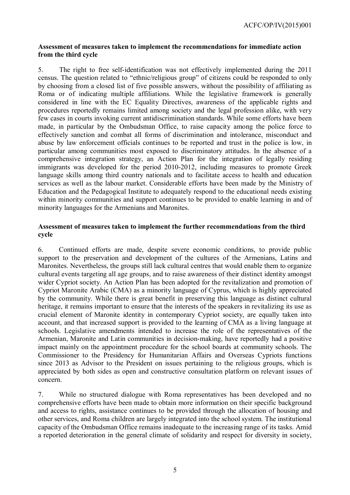#### <span id="page-4-1"></span>**Assessment of measures taken to implement the recommendations for immediate action from the third cycle**

5. The right to free self-identification was not effectively implemented during the 2011 census. The question related to "ethnic/religious group" of citizens could be responded to only by choosing from a closed list of five possible answers, without the possibility of affiliating as Roma or of indicating multiple affiliations. While the legislative framework is generally considered in line with the EC Equality Directives, awareness of the applicable rights and procedures reportedly remains limited among society and the legal profession alike, with very few cases in courts invoking current antidiscrimination standards. While some efforts have been made, in particular by the Ombudsman Office, to raise capacity among the police force to effectively sanction and combat all forms of discrimination and intolerance, misconduct and abuse by law enforcement officials continues to be reported and trust in the police is low, in particular among communities most exposed to discriminatory attitudes. In the absence of a comprehensive integration strategy, an Action Plan for the integration of legally residing immigrants was developed for the period 2010-2012, including measures to promote Greek language skills among third country nationals and to facilitate access to health and education services as well as the labour market. Considerable efforts have been made by the Ministry of Education and the Pedagogical Institute to adequately respond to the educational needs existing within minority communities and support continues to be provided to enable learning in and of minority languages for the Armenians and Maronites.

## <span id="page-4-0"></span>**Assessment of measures taken to implement the further recommendations from the third cycle**

6. Continued efforts are made, despite severe economic conditions, to provide public support to the preservation and development of the cultures of the Armenians, Latins and Maronites. Nevertheless, the groups still lack cultural centres that would enable them to organize cultural events targeting all age groups, and to raise awareness of their distinct identity amongst wider Cypriot society. An Action Plan has been adopted for the revitalization and promotion of Cypriot Maronite Arabic (CMA) as a minority language of Cyprus, which is highly appreciated by the community. While there is great benefit in preserving this language as distinct cultural heritage, it remains important to ensure that the interests of the speakers in revitalizing its use as crucial element of Maronite identity in contemporary Cypriot society, are equally taken into account, and that increased support is provided to the learning of CMA as a living language at schools. Legislative amendments intended to increase the role of the representatives of the Armenian, Maronite and Latin communities in decision-making, have reportedly had a positive impact mainly on the appointment procedure for the school boards at community schools. The Commissioner to the Presidency for Humanitarian Affairs and Overseas Cypriots functions since 2013 as Advisor to the President on issues pertaining to the religious groups, which is appreciated by both sides as open and constructive consultation platform on relevant issues of concern.

7. While no structured dialogue with Roma representatives has been developed and no comprehensive efforts have been made to obtain more information on their specific background and access to rights, assistance continues to be provided through the allocation of housing and other services, and Roma children are largely integrated into the school system. The institutional capacity of the Ombudsman Office remains inadequate to the increasing range of its tasks. Amid a reported deterioration in the general climate of solidarity and respect for diversity in society,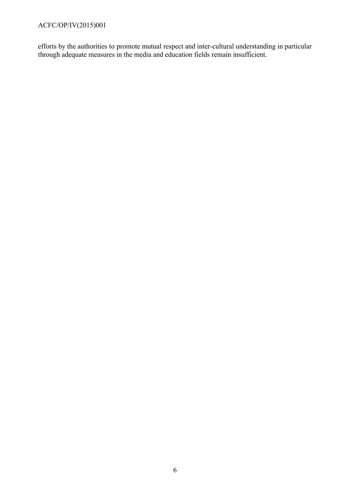efforts by the authorities to promote mutual respect and inter-cultural understanding in particular through adequate measures in the media and education fields remain insufficient.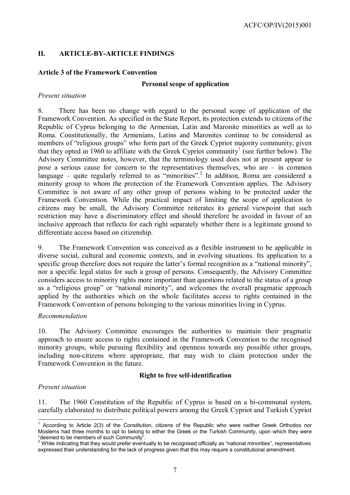## <span id="page-6-1"></span>**II. ARTICLE-BY-ARTICLE FINDINGS**

## <span id="page-6-0"></span>**Article 3 of the Framework Convention**

#### **Personal scope of application**

#### *Present situation*

8. There has been no change with regard to the personal scope of application of the Framework Convention. As specified in the State Report, its protection extends to citizens of the Republic of Cyprus belonging to the Armenian, Latin and Maronite minorities as well as to Roma. Constitutionally, the Armenians, Latins and Maronites continue to be considered as members of "religious groups" who form part of the Greek Cypriot majority community, given that they opted in [1](#page-6-2)960 to affiliate with the Greek Cypriot community<sup>1</sup> (see further below). The Advisory Committee notes, however, that the terminology used does not at present appear to pose a serious cause for concern to the representatives themselves, who are – in common language – quite regularly referred to as "minorities".<sup>[2](#page-6-3)</sup> In addition, Roma are considered a minority group to whom the protection of the Framework Convention applies. The Advisory Committee is not aware of any other group of persons wishing to be protected under the Framework Convention. While the practical impact of limiting the scope of application to citizens may be small, the Advisory Committee reiterates its general viewpoint that such restriction may have a discriminatory effect and should therefore be avoided in favour of an inclusive approach that reflects for each right separately whether there is a legitimate ground to differentiate access based on citizenship.

9. The Framework Convention was conceived as a flexible instrument to be applicable in diverse social, cultural and economic contexts, and in evolving situations. Its application to a specific group therefore does not require the latter's formal recognition as a "national minority", nor a specific legal status for such a group of persons. Consequently, the Advisory Committee considers access to minority rights more important than questions related to the status of a group as a "religious group" or "national minority", and welcomes the overall pragmatic approach applied by the authorities which on the whole facilitates access to rights contained in the Framework Convention of persons belonging to the various minorities living in Cyprus.

#### *Recommendation*

10. The Advisory Committee encourages the authorities to maintain their pragmatic approach to ensure access to rights contained in the Framework Convention to the recognised minority groups, while pursuing flexibility and openness towards any possible other groups, including non-citizens where appropriate, that may wish to claim protection under the Framework Convention in the future.

#### **Right to free self-identification**

#### *Present situation*

11. The 1960 Constitution of the Republic of Cyprus is based on a bi-communal system, carefully elaborated to distribute political powers among the Greek Cypriot and Turkish Cypriot

<span id="page-6-2"></span> $\overline{a}$  $1$  According to Article 2(3) of the Constitution, citizens of the Republic who were neither Greek Orthodox nor Moslems had three months to opt to belong to either the Greek or the Turkish Community, upon which they were "deemed to be members of such Community".

<span id="page-6-3"></span> $2$  While indicating that they would prefer eventually to be recognised officially as "national minorities", representatives expressed their understanding for the lack of progress given that this may require a constitutional amendment.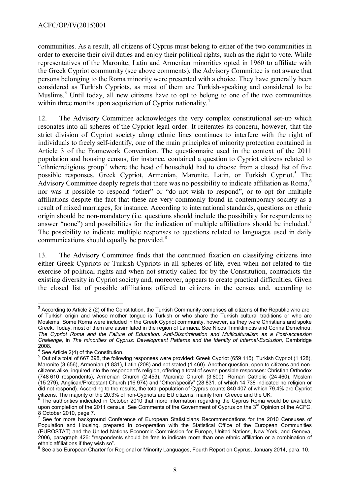communities. As a result, all citizens of Cyprus must belong to either of the two communities in order to exercise their civil duties and enjoy their political rights, such as the right to vote. While representatives of the Maronite, Latin and Armenian minorities opted in 1960 to affiliate with the Greek Cypriot community (see above comments), the Advisory Committee is not aware that persons belonging to the Roma minority were presented with a choice. They have generally been considered as Turkish Cypriots, as most of them are Turkish-speaking and considered to be Muslims.<sup>[3](#page-7-0)</sup> Until today, all new citizens have to opt to belong to one of the two communities within three months upon acquisition of Cypriot nationality.<sup>[4](#page-7-1)</sup>

12. The Advisory Committee acknowledges the very complex constitutional set-up which resonates into all spheres of the Cypriot legal order. It reiterates its concern, however, that the strict division of Cypriot society along ethnic lines continues to interfere with the right of individuals to freely self-identify, one of the main principles of minority protection contained in Article 3 of the Framework Convention. The questionnaire used in the context of the 2011 population and housing census, for instance, contained a question to Cypriot citizens related to "ethnic/religious group" where the head of household had to choose from a closed list of five possible responses, Greek Cypriot, Armenian, Maronite, Latin, or Turkish Cypriot.<sup>[5](#page-7-2)</sup> The Advisory Committee deeply regrets that there was no possibility to indicate affiliation as Roma.<sup>[6](#page-7-3)</sup> nor was it possible to respond "other" or "do not wish to respond", or to opt for multiple affiliations despite the fact that these are very commonly found in contemporary society as a result of mixed marriages, for instance. According to international standards, questions on ethnic origin should be non-mandatory (i.e. questions should include the possibility for respondents to answer "none") and possibilities for the indication of multiple affiliations should be included.<sup>[7](#page-7-4)</sup> The possibility to indicate multiple responses to questions related to languages used in daily communications should equally be provided.<sup>[8](#page-7-5)</sup>

13. The Advisory Committee finds that the continued fixation on classifying citizens into either Greek Cypriots or Turkish Cypriots in all spheres of life, even when not related to the exercise of political rights and when not strictly called for by the Constitution, contradicts the existing diversity in Cypriot society and, moreover, appears to create practical difficulties. Given the closed list of possible affiliations offered to citizens in the census and, according to

<span id="page-7-0"></span> $\overline{a}$  $3$  According to Article 2 (2) of the Constitution, the Turkish Community comprises all citizens of the Republic who are of Turkish origin and whose mother tongue is Turkish or who share the Turkish cultural traditions or who are Moslems. Some Roma were included in the Greek Cypriot community, however, as they were Christians and spoke Greek. Today, most of them are assimilated in the region of Larnaca. See Nicos Trimikliniotis and Corina Demetriou, *The Cypriot Roma and the Failure of Education: Anti-Discrimination and Multiculturalism as a Post-accession Challenge,* in *The minorities of Cyprus: Development Patterns and the Identity of Internal-Exclusion,* Cambridge 2008*.* 

<span id="page-7-1"></span>See Article 2(4) of the Constitution.

<span id="page-7-2"></span><sup>5</sup> Out of a total of 667 398, the following responses were provided: Greek Cypriot (659 115), Turkish Cypriot (1 128), Maronite (3 656), Armenian (1 831), Latin (208) and not stated (1 460). Another question, open to citizens and noncitizens alike, inquired into the respondent's religion, offering a total of seven possible responses: Christian Orthodox (748 610 respondents), Armenian Church (2 453), Maronite Church (3 800), Roman Catholic (24 460), Moslem (15 279), Anglican/Protestant Church (16 974) and "Other/specify" (28 831, of which 14 738 indicated no religion or did not respond). According to the results, the total population of Cyprus counts 840 407 of which 79.4% are Cypriot citizens. The majority of the 20.3% of non-Cypriots are EU citizens, mainly from Greece and the UK.<br><sup>6</sup> The authorities indicated in October 2010 that mare information resording the Cunnus Dome was

<span id="page-7-3"></span>The authorities indicated in October 2010 that more information regarding the Cyprus Roma would be available upon completion of the 2011 census. See Comments of the Government of Cyprus on the 3<sup>rd</sup> Opinion of the ACFC, 8 October 2010, page 7.

<span id="page-7-4"></span><sup>7</sup> See for more background Conference of European Statisticians Recommendations for the 2010 Censuses of Population and Housing, prepared in co-operation with the Statistical Office of the European Communities (EUROSTAT) and the United Nations Economic Commission for Europe, United Nations, New York, and Geneva, 2006, paragraph 426: "respondents should be free to indicate more than one ethnic affiliation or a combination of ethnic affiliations if they wish so".

<span id="page-7-5"></span>See also European Charter for Regional or Minority Languages, Fourth Report on Cyprus, January 2014, para. 10.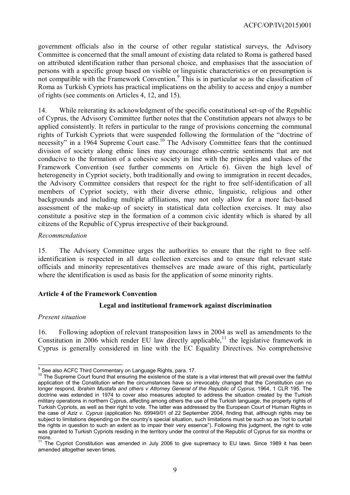government officials also in the course of other regular statistical surveys, the Advisory Committee is concerned that the small amount of existing data related to Roma is gathered based on attributed identification rather than personal choice, and emphasises that the association of persons with a specific group based on visible or linguistic characteristics or on presumption is not compatible with the Framework Convention.<sup>[9](#page-8-1)</sup> This is in particular so as the classification of Roma as Turkish Cypriots has practical implications on the ability to access and enjoy a number of rights (see comments on Articles 4, 12, and 15).

14. While reiterating its acknowledgment of the specific constitutional set-up of the Republic of Cyprus, the Advisory Committee further notes that the Constitution appears not always to be applied consistently. It refers in particular to the range of provisions concerning the communal rights of Turkish Cypriots that were suspended following the formulation of the "doctrine of necessity" in a 1964 Supreme Court case.<sup>[10](#page-8-2)</sup> The Advisory Committee fears that the continued division of society along ethnic lines may encourage ethno-centric sentiments that are not conducive to the formation of a cohesive society in line with the principles and values of the Framework Convention (see further comments on Article 6). Given the high level of heterogeneity in Cypriot society, both traditionally and owing to immigration in recent decades, the Advisory Committee considers that respect for the right to free self-identification of all members of Cypriot society, with their diverse ethnic, linguistic, religious and other backgrounds and including multiple affiliations, may not only allow for a more fact-based assessment of the make-up of society in statistical data collection exercises. It may also constitute a positive step in the formation of a common civic identity which is shared by all citizens of the Republic of Cyprus irrespective of their background.

#### *Recommendation*

15. The Advisory Committee urges the authorities to ensure that the right to free selfidentification is respected in all data collection exercises and to ensure that relevant state officials and minority representatives themselves are made aware of this right, particularly where the identification is used as basis for the application of some minority rights.

## <span id="page-8-0"></span>**Article 4 of the Framework Convention**

#### **Legal and institutional framework against discrimination**

#### *Present situation*

16. Following adoption of relevant transposition laws in 2004 as well as amendments to the Constitution in 2006 which render EU law directly applicable,<sup>[11](#page-8-3)</sup> the legislative framework in Cyprus is generally considered in line with the EC Equality Directives. No comprehensive

<span id="page-8-1"></span>j  $9$  See also ACFC Third Commentary on Language Rights, para. 17.

<span id="page-8-2"></span><sup>&</sup>lt;sup>10</sup> The Supreme Court found that ensuring the existence of the state is a vital interest that will prevail over the faithful application of the Constitution when the circumstances have so irrevocably changed that the Constitution can no longer respond*, Ibrahim Mustafa and others v Attorney General of the Republic of Cyprus*, 1964, 1 CLR 195. The doctrine was extended in 1974 to cover also measures adopted to address the situation created by the Turkish military operations in northern Cyprus, affecting among others the use of the Turkish language, the property rights of Turkish Cypriots, as well as their right to vote. The latter was addressed by the European Court of Human Rights in the case of *Aziz v. Cyprus* (application No. 69949/01 of 22 September 2004, finding that, although rights may be subject to limitations depending on the country's special situation, such limitations must be such so as "not to curtail the rights in question to such an extent as to impair their very essence"). Following this judgment, the right to vote was granted to Turkish Cypriots residing in the territory under the control of the Republic of Cyprus for six months or more.

<span id="page-8-3"></span><sup>&</sup>lt;sup>11</sup> The Cypriot Constitution was amended in July 2006 to give supremacy to EU laws. Since 1989 it has been amended altogether seven times.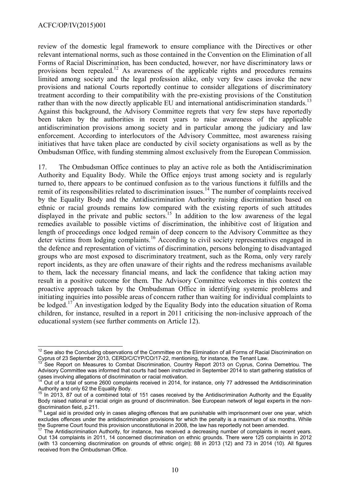review of the domestic legal framework to ensure compliance with the Directives or other relevant international norms, such as those contained in the Convention on the Elimination of all Forms of Racial Discrimination, has been conducted, however, nor have discriminatory laws or provisions been repealed.<sup>[12](#page-9-0)</sup> As awareness of the applicable rights and procedures remains limited among society and the legal profession alike, only very few cases invoke the new provisions and national Courts reportedly continue to consider allegations of discriminatory treatment according to their compatibility with the pre-existing provisions of the Constitution rather than with the now directly applicable EU and international antidiscrimination standards.<sup>[13](#page-9-1)</sup> Against this background, the Advisory Committee regrets that very few steps have reportedly been taken by the authorities in recent years to raise awareness of the applicable antidiscrimination provisions among society and in particular among the judiciary and law enforcement. According to interlocutors of the Advisory Committee, most awareness raising initiatives that have taken place are conducted by civil society organisations as well as by the Ombudsman Office, with funding stemming almost exclusively from the European Commission.

17. The Ombudsman Office continues to play an active role as both the Antidiscrimination Authority and Equality Body. While the Office enjoys trust among society and is regularly turned to, there appears to be continued confusion as to the various functions it fulfills and the remit of its responsibilities related to discrimination issues.<sup>[14](#page-9-2)</sup> The number of complaints received by the Equality Body and the Antidiscrimination Authority raising discrimination based on ethnic or racial grounds remains low compared with the existing reports of such attitudes displayed in the private and public sectors.<sup>[15](#page-9-3)</sup> In addition to the low awareness of the legal remedies available to possible victims of discrimination, the inhibitive cost of litigation and length of proceedings once lodged remain of deep concern to the Advisory Committee as they deter victims from lodging complaints.<sup>[16](#page-9-4)</sup> According to civil society representatives engaged in the defence and representation of victims of discrimination, persons belonging to disadvantaged groups who are most exposed to discriminatory treatment, such as the Roma, only very rarely report incidents, as they are often unaware of their rights and the redress mechanisms available to them, lack the necessary financial means, and lack the confidence that taking action may result in a positive outcome for them. The Advisory Committee welcomes in this context the proactive approach taken by the Ombudsman Office in identifying systemic problems and initiating inquiries into possible areas of concern rather than waiting for individual complaints to be lodged.<sup>[17](#page-9-5)</sup> An investigation lodged by the Equality Body into the education situation of Roma children, for instance, resulted in a report in 2011 criticising the non-inclusive approach of the educational system (see further comments on Article 12).

<span id="page-9-0"></span> $\overline{a}$  $12$  See also the Concluding observations of the Committee on the Elimination of all Forms of Racial Discrimination on Cyprus of 23 September 2013, CERD/C/CYP/CO/17-22, mentioning, for instance, the Tenant Law.

<span id="page-9-1"></span><sup>13</sup> See Report on Measures to Combat Discrimination, Country Report 2013 on Cyprus, Corina Demetriou. The Advisory Committee was informed that courts had been instructed in September 2014 to start gathering statistics of cases involving allegations of discrimination or racial motivation.

<span id="page-9-2"></span><sup>14</sup> Out of a total of some 2600 complaints received in 2014, for instance, only 77 addressed the Antidiscrimination Authority and only 62 the Equality Body.

<span id="page-9-3"></span> $15$  In 2013, 87 out of a combined total of 151 cases received by the Antidiscrimination Authority and the Equality Body raised national or racial origin as ground of discrimination. See European network of legal experts in the nondiscrimination field, p.211.

<span id="page-9-4"></span>Legal aid is provided only in cases alleging offences that are punishable with imprisonment over one year, which excludes offences under the antidiscrimination provisions for which the penalty is a maximum of six months. While the Supreme Court found this provision unconstitutional in 2008, the law has reportedly not been amended.

<span id="page-9-5"></span><sup>&</sup>lt;sup>17</sup> The Antidiscrimination Authority, for instance, has received a decreasing number of complaints in recent years. Out 134 complaints in 2011, 14 concerned discrimination on ethnic grounds. There were 125 complaints in 2012 (with 13 concerning discrimination on grounds of ethnic origin); 88 in 2013 (12) and 73 in 2014 (10). All figures received from the Ombudsman Office.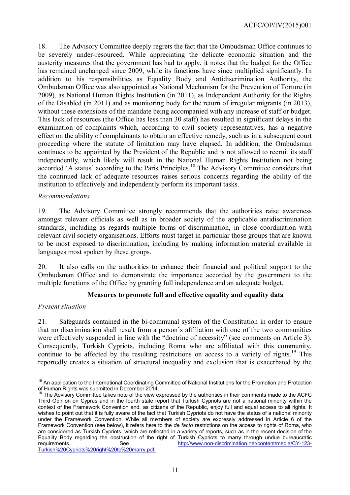18. The Advisory Committee deeply regrets the fact that the Ombudsman Office continues to be severely under-resourced. While appreciating the delicate economic situation and the austerity measures that the government has had to apply, it notes that the budget for the Office has remained unchanged since 2009, while its functions have since multiplied significantly. In addition to his responsibilities as Equality Body and Antidiscrimination Authority, the Ombudsman Office was also appointed as National Mechanism for the Prevention of Torture (in 2009), as National Human Rights Institution (in 2011), as Independent Authority for the Rights of the Disabled (in 2011) and as monitoring body for the return of irregular migrants (in 2013), without these extensions of the mandate being accompanied with any increase of staff or budget. This lack of resources (the Office has less than 30 staff) has resulted in significant delays in the examination of complaints which, according to civil society representatives, has a negative effect on the ability of complainants to obtain an effective remedy, such as in a subsequent court proceeding where the statute of limitation may have elapsed. In addition, the Ombudsman continues to be appointed by the President of the Republic and is not allowed to recruit its staff independently, which likely will result in the National Human Rights Institution not being accorded 'A status' according to the Paris Principles.<sup>[18](#page-10-0)</sup> The Advisory Committee considers that the continued lack of adequate resources raises serious concerns regarding the ability of the institution to effectively and independently perform its important tasks.

## *Recommendations*

19. The Advisory Committee strongly recommends that the authorities raise awareness amongst relevant officials as well as in broader society of the applicable antidiscrimination standards, including as regards multiple forms of discrimination, in close coordination with relevant civil society organisations. Efforts must target in particular those groups that are known to be most exposed to discrimination, including by making information material available in languages most spoken by these groups.

20. It also calls on the authorities to enhance their financial and political support to the Ombudsman Office and to demonstrate the importance accorded by the government to the multiple functions of the Office by granting full independence and an adequate budget.

## **Measures to promote full and effective equality and equality data**

## *Present situation*

21. Safeguards contained in the bi-communal system of the Constitution in order to ensure that no discrimination shall result from a person's affiliation with one of the two communities were effectively suspended in line with the "doctrine of necessity" (see comments on Article 3). Consequently, Turkish Cypriots, including Roma who are affiliated with this community, continue to be affected by the resulting restrictions on access to a variety of rights.<sup>[19](#page-10-1)</sup> This reportedly creates a situation of structural inequality and exclusion that is exacerbated by the

<span id="page-10-0"></span> $\overline{\phantom{a}}$ <sup>18</sup> An application to the International Coordinating Committee of National Institutions for the Promotion and Protection of Human Rights was submitted in December 2014.

<span id="page-10-1"></span><sup>&</sup>lt;sup>19</sup> The Advisory Committee takes note of the view expressed by the authorities in their comments made to the ACFC Third Opinion on Cyprus and in the fourth state report that Turkish Cypriots are not a national minority within the context of the Framework Convention and, as citizens of the Republic, enjoy full and equal access to all rights. It wishes to point out that it is fully aware of the fact that Turkish Cypriots do not have the status of a national minority under the Framework Convention. While all members of society are expressly addressed in Article 6 of the Framework Convention (see below), it refers here to the *de facto* restrictions on the access to rights of Roma, who are considered as Turkish Cypriots, which are reflected in a variety of reports, such as in the recent decision of the Equality Body regarding the obstruction of the right of Turkish Cypriots to marry through undue bureaucratic requirements. See See [http://www.non-discrimination.net/content/media/CY-123-](http://www.non-discrimination.net/content/media/CY-123-Turkish%20Cypriots%20right%20to%20marry.pdf)

[Turkish%20Cypriots%20right%20to%20marry.pdf.](http://www.non-discrimination.net/content/media/CY-123-Turkish%20Cypriots%20right%20to%20marry.pdf)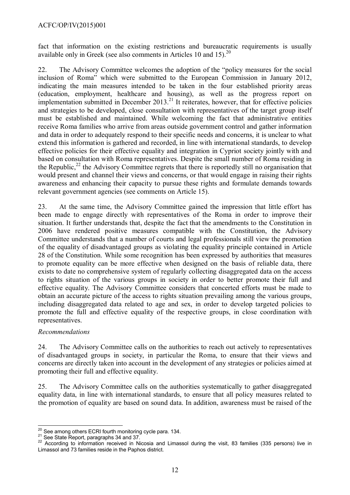fact that information on the existing restrictions and bureaucratic requirements is usually available only in Greek (see also comments in Articles 10 and 15).<sup>[20](#page-11-0)</sup>

22. The Advisory Committee welcomes the adoption of the "policy measures for the social inclusion of Roma" which were submitted to the European Commission in January 2012, indicating the main measures intended to be taken in the four established priority areas (education, employment, healthcare and housing), as well as the progress report on implementation submitted in December  $2013$ <sup>[21](#page-11-1)</sup> It reiterates, however, that for effective policies and strategies to be developed, close consultation with representatives of the target group itself must be established and maintained. While welcoming the fact that administrative entities receive Roma families who arrive from areas outside government control and gather information and data in order to adequately respond to their specific needs and concerns, it is unclear to what extend this information is gathered and recorded, in line with international standards, to develop effective policies for their effective equality and integration in Cypriot society jointly with and based on consultation with Roma representatives. Despite the small number of Roma residing in the Republic, $^{22}$  $^{22}$  $^{22}$  the Advisory Committee regrets that there is reportedly still no organisation that would present and channel their views and concerns, or that would engage in raising their rights awareness and enhancing their capacity to pursue these rights and formulate demands towards relevant government agencies (see comments on Article 15).

23. At the same time, the Advisory Committee gained the impression that little effort has been made to engage directly with representatives of the Roma in order to improve their situation. It further understands that, despite the fact that the amendments to the Constitution in 2006 have rendered positive measures compatible with the Constitution, the Advisory Committee understands that a number of courts and legal professionals still view the promotion of the equality of disadvantaged groups as violating the equality principle contained in Article 28 of the Constitution. While some recognition has been expressed by authorities that measures to promote equality can be more effective when designed on the basis of reliable data, there exists to date no comprehensive system of regularly collecting disaggregated data on the access to rights situation of the various groups in society in order to better promote their full and effective equality. The Advisory Committee considers that concerted efforts must be made to obtain an accurate picture of the access to rights situation prevailing among the various groups, including disaggregated data related to age and sex, in order to develop targeted policies to promote the full and effective equality of the respective groups, in close coordination with representatives.

## *Recommendations*

24. The Advisory Committee calls on the authorities to reach out actively to representatives of disadvantaged groups in society, in particular the Roma, to ensure that their views and concerns are directly taken into account in the development of any strategies or policies aimed at promoting their full and effective equality.

25. The Advisory Committee calls on the authorities systematically to gather disaggregated equality data, in line with international standards, to ensure that all policy measures related to the promotion of equality are based on sound data. In addition, awareness must be raised of the

<span id="page-11-0"></span>j  $^{20}$  See among others ECRI fourth monitoring cycle para. 134.

<span id="page-11-1"></span><sup>&</sup>lt;sup>21</sup> See State Report, paragraphs 34 and 37.

<span id="page-11-2"></span><sup>22</sup> According to information received in Nicosia and Limassol during the visit, 83 families (335 persons) live in Limassol and 73 families reside in the Paphos district.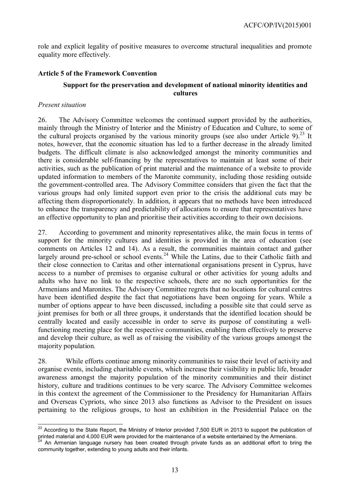role and explicit legality of positive measures to overcome structural inequalities and promote equality more effectively.

## <span id="page-12-0"></span>**Article 5 of the Framework Convention**

## **Support for the preservation and development of national minority identities and cultures**

#### *Present situation*

26. The Advisory Committee welcomes the continued support provided by the authorities, mainly through the Ministry of Interior and the Ministry of Education and Culture, to some of the cultural projects organised by the various minority groups (see also under Article 9).<sup>[23](#page-12-1)</sup> It notes, however, that the economic situation has led to a further decrease in the already limited budgets. The difficult climate is also acknowledged amongst the minority communities and there is considerable self-financing by the representatives to maintain at least some of their activities, such as the publication of print material and the maintenance of a website to provide updated information to members of the Maronite community, including those residing outside the government-controlled area. The Advisory Committee considers that given the fact that the various groups had only limited support even prior to the crisis the additional cuts may be affecting them disproportionately. In addition, it appears that no methods have been introduced to enhance the transparency and predictability of allocations to ensure that representatives have an effective opportunity to plan and prioritise their activities according to their own decisions.

27. According to government and minority representatives alike, the main focus in terms of support for the minority cultures and identities is provided in the area of education (see comments on Articles 12 and 14). As a result, the communities maintain contact and gather largely around pre-school or school events.<sup>[24](#page-12-2)</sup> While the Latins, due to their Catholic faith and their close connection to Caritas and other international organisations present in Cyprus, have access to a number of premises to organise cultural or other activities for young adults and adults who have no link to the respective schools, there are no such opportunities for the Armenians and Maronites. The Advisory Committee regrets that no locations for cultural centres have been identified despite the fact that negotiations have been ongoing for years. While a number of options appear to have been discussed, including a possible site that could serve as joint premises for both or all three groups, it understands that the identified location should be centrally located and easily accessible in order to serve its purpose of constituting a wellfunctioning meeting place for the respective communities, enabling them effectively to preserve and develop their culture, as well as of raising the visibility of the various groups amongst the majority population.

28. While efforts continue among minority communities to raise their level of activity and organise events, including charitable events, which increase their visibility in public life, broader awareness amongst the majority population of the minority communities and their distinct history, culture and traditions continues to be very scarce. The Advisory Committee welcomes in this context the agreement of the Commissioner to the Presidency for Humanitarian Affairs and Overseas Cypriots, who since 2013 also functions as Advisor to the President on issues pertaining to the religious groups, to host an exhibition in the Presidential Palace on the

<span id="page-12-1"></span> $\overline{a}$  $^{23}$  According to the State Report, the Ministry of Interior provided 7,500 EUR in 2013 to support the publication of printed material and 4,000 EUR were provided for the maintenance of a website entertained by the Armenians.

<span id="page-12-2"></span>An Armenian language nursery has been created through private funds as an additional effort to bring the community together, extending to young adults and their infants.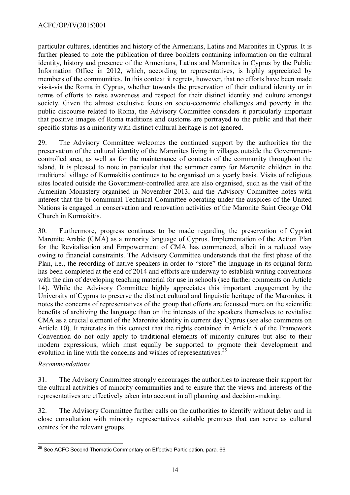particular cultures, identities and history of the Armenians, Latins and Maronites in Cyprus. It is further pleased to note the publication of three booklets containing information on the cultural identity, history and presence of the Armenians, Latins and Maronites in Cyprus by the Public Information Office in 2012, which, according to representatives, is highly appreciated by members of the communities. In this context it regrets, however, that no efforts have been made vis-à-vis the Roma in Cyprus, whether towards the preservation of their cultural identity or in terms of efforts to raise awareness and respect for their distinct identity and culture amongst society. Given the almost exclusive focus on socio-economic challenges and poverty in the public discourse related to Roma, the Advisory Committee considers it particularly important that positive images of Roma traditions and customs are portrayed to the public and that their specific status as a minority with distinct cultural heritage is not ignored.

29. The Advisory Committee welcomes the continued support by the authorities for the preservation of the cultural identity of the Maronites living in villages outside the Governmentcontrolled area, as well as for the maintenance of contacts of the community throughout the island. It is pleased to note in particular that the summer camp for Maronite children in the traditional village of Kormakitis continues to be organised on a yearly basis. Visits of religious sites located outside the Government-controlled area are also organised, such as the visit of the Armenian Monastery organised in November 2013, and the Advisory Committee notes with interest that the bi-communal Technical Committee operating under the auspices of the United Nations is engaged in conservation and renovation activities of the Maronite Saint George Old Church in Kormakitis.

30. Furthermore, progress continues to be made regarding the preservation of Cypriot Maronite Arabic (CMA) as a minority language of Cyprus. Implementation of the Action Plan for the Revitalisation and Empowerment of CMA has commenced, albeit in a reduced way owing to financial constraints. The Advisory Committee understands that the first phase of the Plan, i.e., the recording of native speakers in order to "store" the language in its original form has been completed at the end of 2014 and efforts are underway to establish writing conventions with the aim of developing teaching material for use in schools (see further comments on Article 14). While the Advisory Committee highly appreciates this important engagement by the University of Cyprus to preserve the distinct cultural and linguistic heritage of the Maronites, it notes the concerns of representatives of the group that efforts are focussed more on the scientific benefits of archiving the language than on the interests of the speakers themselves to revitalise CMA as a crucial element of the Maronite identity in current day Cyprus (see also comments on Article 10). It reiterates in this context that the rights contained in Article 5 of the Framework Convention do not only apply to traditional elements of minority cultures but also to their modern expressions, which must equally be supported to promote their development and evolution in line with the concerns and wishes of representatives.<sup>[25](#page-13-0)</sup>

# *Recommendations*

31. The Advisory Committee strongly encourages the authorities to increase their support for the cultural activities of minority communities and to ensure that the views and interests of the representatives are effectively taken into account in all planning and decision-making.

32. The Advisory Committee further calls on the authorities to identify without delay and in close consultation with minority representatives suitable premises that can serve as cultural centres for the relevant groups.

<span id="page-13-0"></span> $\overline{a}$  $^{25}$  See ACFC Second Thematic Commentary on Effective Participation, para. 66.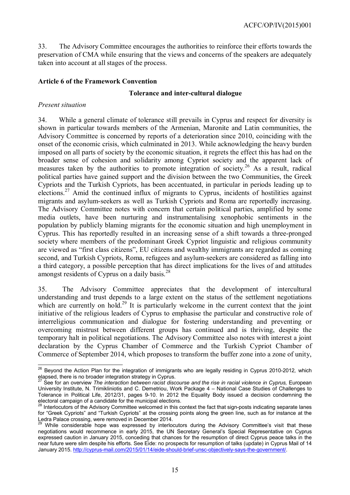33. The Advisory Committee encourages the authorities to reinforce their efforts towards the preservation of CMA while ensuring that the views and concerns of the speakers are adequately taken into account at all stages of the process.

## <span id="page-14-0"></span>**Article 6 of the Framework Convention**

## **Tolerance and inter-cultural dialogue**

## *Present situation*

34. While a general climate of tolerance still prevails in Cyprus and respect for diversity is shown in particular towards members of the Armenian, Maronite and Latin communities, the Advisory Committee is concerned by reports of a deterioration since 2010, coinciding with the onset of the economic crisis, which culminated in 2013. While acknowledging the heavy burden imposed on all parts of society by the economic situation, it regrets the effect this has had on the broader sense of cohesion and solidarity among Cypriot society and the apparent lack of measures taken by the authorities to promote integration of society.<sup>[26](#page-14-1)</sup> As a result, radical political parties have gained support and the division between the two Communities, the Greek Cypriots and the Turkish Cypriots, has been accentuated, in particular in periods leading up to elections.[27](#page-14-2) Amid the continued influx of migrants to Cyprus, incidents of hostilities against migrants and asylum-seekers as well as Turkish Cypriots and Roma are reportedly increasing. The Advisory Committee notes with concern that certain political parties, amplified by some media outlets, have been nurturing and instrumentalising xenophobic sentiments in the population by publicly blaming migrants for the economic situation and high unemployment in Cyprus. This has reportedly resulted in an increasing sense of a shift towards a three-pronged society where members of the predominant Greek Cypriot linguistic and religious community are viewed as "first class citizens", EU citizens and wealthy immigrants are regarded as coming second, and Turkish Cypriots, Roma, refugees and asylum-seekers are considered as falling into a third category, a possible perception that has direct implications for the lives of and attitudes amongst residents of Cyprus on a daily basis. [28](#page-14-3)

35. The Advisory Committee appreciates that the development of intercultural understanding and trust depends to a large extent on the status of the settlement negotiations which are currently on hold.<sup>[29](#page-14-4)</sup> It is particularly welcome in the current context that the joint initiative of the religious leaders of Cyprus to emphasise the particular and constructive role of interreligious communication and dialogue for fostering understanding and preventing or overcoming mistrust between different groups has continued and is thriving, despite the temporary halt in political negotiations. The Advisory Committee also notes with interest a joint declaration by the Cyprus Chamber of Commerce and the Turkish Cypriot Chamber of Commerce of September 2014, which proposes to transform the buffer zone into a zone of unity,

<span id="page-14-1"></span>j <sup>26</sup> Beyond the Action Plan for the integration of immigrants who are legally residing in Cyprus 2010-2012*,* which elapsed, there is no broader integration strategy in Cyprus.

<span id="page-14-2"></span><sup>27</sup> See for an overview *The interaction between racist discourse and the rise in racial violence in Cyprus,* European University Institute, N. Trimikliniotis and C. Demetriou, Work Package 4 – National Case Studies of Challenges to Tolerance in Political Life, 2012/31, pages 9-10. In 2012 the Equality Body issued a decision condemning the electoral campaign of a candidate for the municipal elections.

<span id="page-14-3"></span>Interlocutors of the Advisory Committee welcomed in this context the fact that sign-posts indicating separate lanes for "Greek Cypriots" and "Turkish Cypriots" at the crossing points along the green line, such as for instance at the Ledra Palace crossing, were removed in December 2014.

<span id="page-14-4"></span>While considerable hope was expressed by interlocutors during the Advisory Committee's visit that these negotiations would recommence in early 2015, the UN Secretary General's Special Representative on Cyprus expressed caution in January 2015, conceding that chances for the resumption of direct Cyprus peace talks in the near future were slim despite his efforts. See Eide: no prospects for resumption of talks (update) in Cyprus Mail of 14 January 2015. [http://cyprus-mail.com/2015/01/14/eide-should-brief-unsc-objectively-says-the-government/.](http://cyprus-mail.com/2015/01/14/eide-should-brief-unsc-objectively-says-the-government/)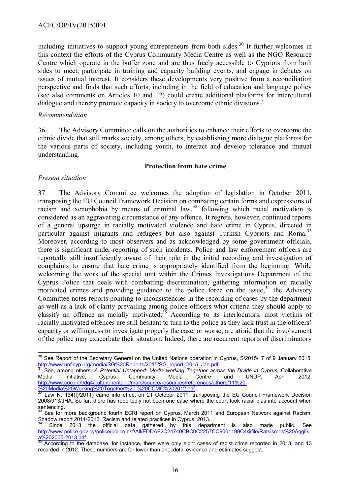including initiatives to support young entrepreneurs from both sides.<sup>[30](#page-15-0)</sup> It further welcomes in this context the efforts of the Cyprus Community Media Centre as well as the NGO Resource Centre which operate in the buffer zone and are thus freely accessible to Cypriots from both sides to meet, participate in training and capacity building events, and engage in debates on issues of mutual interest. It considers these developments very positive from a reconciliation perspective and finds that such efforts, including in the field of education and language policy (see also comments on Articles 10 and 12) could create additional platforms for intercultural dialogue and thereby promote capacity in society to overcome ethnic divisions.<sup>[31](#page-15-1)</sup>

#### *Recommendation*

36. The Advisory Committee calls on the authorities to enhance their efforts to overcome the ethnic divide that still marks society, among others, by establishing more dialogue platforms for the various parts of society, including youth, to interact and develop tolerance and mutual understanding.

#### **Protection from hate crime**

## *Present situation*

37. The Advisory Committee welcomes the adoption of legislation in October 2011, transposing the EU Council Framework Decision on combating certain forms and expressions of racism and xenophobia by means of criminal  $law$ ,<sup>[32](#page-15-2)</sup> following which racial motivation is considered as an aggravating circumstance of any offence. It regrets, however, continued reports of a general upsurge in racially motivated violence and hate crime in Cyprus, directed in particular against migrants and refugees but also against Turkish Cypriots and Roma.<sup>[33](#page-15-3)</sup> Moreover, according to most observers and as acknowledged by some government officials, there is significant under-reporting of such incidents. Police and law enforcement officers are reportedly still insufficiently aware of their role in the initial recording and investigation of complaints to ensure that hate crime is appropriately identified from the beginning. While welcoming the work of the special unit within the Crimes Investigations Department of the Cyprus Police that deals with combatting discrimination, gathering information on racially motivated crimes and providing guidance to the police force on the issue,  $34$  the Advisory Committee notes reports pointing to inconsistencies in the recording of cases by the department as well as a lack of clarity prevailing among police officers what criteria they should apply to classify an offence as racially motivated.<sup>[35](#page-15-5)</sup> According to its interlocutors, most victims of racially motivated offences are still hesitant to turn to the police as they lack trust in the officers' capacity or willingness to investigate properly the case, or worse, are afraid that the involvement of the police may exacerbate their situation. Indeed, there are recurrent reports of discriminatory

<span id="page-15-0"></span> $\overline{a}$  $30$  See Report of the Secretary General on the United Nations operation in Cyprus, S/2015/17 of 9 January 2015. [http://www.unficyp.org/media/SG%20Reports/2015/SG\\_report\\_2015\\_Jan.pdf.](http://www.unficyp.org/media/SG%20Reports/2015/SG_report_2015_Jan.pdf)

<span id="page-15-1"></span><sup>31</sup> See, among others, *A Potential Untapped: Media working Together across the Divide in Cyprus, Collaborative*<br>
31 edia initiative, Cyprus Community Media Centre and UNDP, April 2012, Media Initiative, Cyprus Community Media Centre and UNDP, April 2012, [http://www.coe.int/t/dg4/cultureheritage/mars/source/resources/references/others/11%20-](http://www.coe.int/t/dg4/cultureheritage/mars/source/resources/references/others/11%20-%20Media%20Working%20Together%20-%20CCMC%202012.pdf) [%20Media%20Working%20Together%20-%20CCMC%202012.pdf](http://www.coe.int/t/dg4/cultureheritage/mars/source/resources/references/others/11%20-%20Media%20Working%20Together%20-%20CCMC%202012.pdf) *.* 

<span id="page-15-2"></span><sup>&</sup>lt;sup>32</sup> Law N. 134(I)/2011) came into effect on 21 October 2011, transposing the EU Council Framework Decision 2008/913/JHA. So far, there has reportedly not been one case where the court took racial bias into account when sentencing.

<span id="page-15-3"></span>See for more background fourth ECRI report on Cyprus, March 2011 and European Network against Racism, Shadow report 2011-2012, Racism and related practices in Cyprus, 2013.

<span id="page-15-4"></span> $34$  Since 2013 the official data gathered by this department is also made public. See [http://www.police.gov.cy/police/police.nsf/All/EDDAF2C24740CBC0C2257CC9001199C4/\\$file/Ratsismos%20Agglik](http://www.police.gov.cy/police/police.nsf/All/EDDAF2C24740CBC0C2257CC9001199C4/$file/Ratsismos%20Agglika%202005-2013.pdf) [a%202005-2013.pdf.](http://www.police.gov.cy/police/police.nsf/All/EDDAF2C24740CBC0C2257CC9001199C4/$file/Ratsismos%20Agglika%202005-2013.pdf)

<span id="page-15-5"></span><sup>35</sup> According to the database, for instance, there were only eight cases of racist crime recorded in 2013, and 13 recorded in 2012. These numbers are far lower than anecdotal evidence and estimates suggest.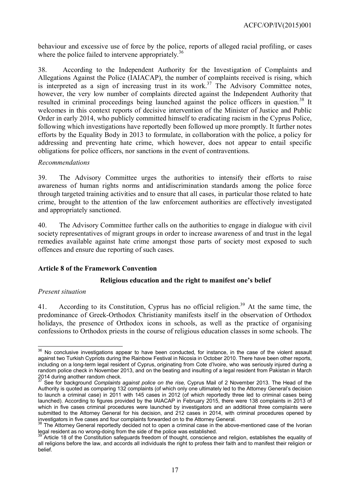behaviour and excessive use of force by the police, reports of alleged racial profiling, or cases where the police failed to intervene appropriately.<sup>[36](#page-16-1)</sup>

38. According to the Independent Authority for the Investigation of Complaints and Allegations Against the Police (IAIACAP), the number of complaints received is rising, which is interpreted as a sign of increasing trust in its work.<sup>[37](#page-16-2)</sup> The Advisory Committee notes, however, the very low number of complaints directed against the Independent Authority that resulted in criminal proceedings being launched against the police officers in question.<sup>[38](#page-16-3)</sup> It welcomes in this context reports of decisive intervention of the Minister of Justice and Public Order in early 2014, who publicly committed himself to eradicating racism in the Cyprus Police, following which investigations have reportedly been followed up more promptly. It further notes efforts by the Equality Body in 2013 to formulate, in collaboration with the police, a policy for addressing and preventing hate crime, which however, does not appear to entail specific obligations for police officers, nor sanctions in the event of contraventions.

## *Recommendations*

39. The Advisory Committee urges the authorities to intensify their efforts to raise awareness of human rights norms and antidiscrimination standards among the police force through targeted training activities and to ensure that all cases, in particular those related to hate crime, brought to the attention of the law enforcement authorities are effectively investigated and appropriately sanctioned.

40. The Advisory Committee further calls on the authorities to engage in dialogue with civil society representatives of migrant groups in order to increase awareness of and trust in the legal remedies available against hate crime amongst those parts of society most exposed to such offences and ensure due reporting of such cases.

## <span id="page-16-0"></span>**Article 8 of the Framework Convention**

## **Religious education and the right to manifest one's belief**

#### *Present situation*

41. According to its Constitution, Cyprus has no official religion.<sup>[39](#page-16-4)</sup> At the same time, the predominance of Greek-Orthodox Christianity manifests itself in the observation of Orthodox holidays, the presence of Orthodox icons in schools, as well as the practice of organising confessions to Orthodox priests in the course of religious education classes in some schools. The

<span id="page-16-1"></span>j  $36$  No conclusive investigations appear to have been conducted, for instance, in the case of the violent assault against two Turkish Cypriots during the Rainbow Festival in Nicosia in October 2010. There have been other reports, including on a long-term legal resident of Cyprus, originating from Cote d'Ivoire, who was seriously injured during a random police check in November 2013, and on the beating and insulting of a legal resident from Pakistan in March 2014 during another random check.

<span id="page-16-2"></span><sup>37</sup> See for background *Complaints against police on the rise,* Cyprus Mail of 2 November 2013. The Head of the Authority is quoted as comparing 132 complaints (of which only one ultimately led to the Attorney General's decision to launch a criminal case) in 2011 with 145 cases in 2012 (of which reportedly three led to criminal cases being launched). According to figures provided by the IAIACAP in February 2015, there were 138 complaints in 2013 of which in five cases criminal procedures were launched by investigators and an additional three complaints were submitted to the Attorney General for his decision, and 212 cases in 2014, with criminal procedures opened by investigators in five cases and four complaints forwarded on to the Attorney General.

<span id="page-16-3"></span>The Attorney General reportedly decided not to open a criminal case in the above-mentioned case of the Ivorian legal resident as no wrong-doing from the side of the police was established.

<span id="page-16-4"></span>Article 18 of the Constitution safeguards freedom of thought, conscience and religion, establishes the equality of all religions before the law, and accords all individuals the right to profess their faith and to manifest their religion or belief.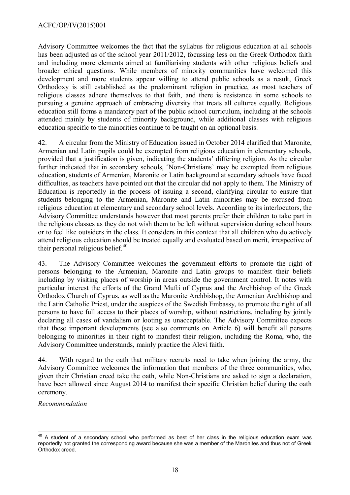## ACFC/OP/IV(2015)001

Advisory Committee welcomes the fact that the syllabus for religious education at all schools has been adjusted as of the school year 2011/2012, focussing less on the Greek Orthodox faith and including more elements aimed at familiarising students with other religious beliefs and broader ethical questions. While members of minority communities have welcomed this development and more students appear willing to attend public schools as a result, Greek Orthodoxy is still established as the predominant religion in practice, as most teachers of religious classes adhere themselves to that faith, and there is resistance in some schools to pursuing a genuine approach of embracing diversity that treats all cultures equally. Religious education still forms a mandatory part of the public school curriculum, including at the schools attended mainly by students of minority background, while additional classes with religious education specific to the minorities continue to be taught on an optional basis.

42. A circular from the Ministry of Education issued in October 2014 clarified that Maronite, Armenian and Latin pupils could be exempted from religious education in elementary schools, provided that a justification is given, indicating the students' differing religion. As the circular further indicated that in secondary schools, 'Non-Christians' may be exempted from religious education, students of Armenian, Maronite or Latin background at secondary schools have faced difficulties, as teachers have pointed out that the circular did not apply to them. The Ministry of Education is reportedly in the process of issuing a second, clarifying circular to ensure that students belonging to the Armenian, Maronite and Latin minorities may be excused from religious education at elementary and secondary school levels. According to its interlocutors, the Advisory Committee understands however that most parents prefer their children to take part in the religious classes as they do not wish them to be left without supervision during school hours or to feel like outsiders in the class. It considers in this context that all children who do actively attend religious education should be treated equally and evaluated based on merit, irrespective of their personal religious belief. $40^{\circ}$  $40^{\circ}$ 

43. The Advisory Committee welcomes the government efforts to promote the right of persons belonging to the Armenian, Maronite and Latin groups to manifest their beliefs including by visiting places of worship in areas outside the government control. It notes with particular interest the efforts of the Grand Mufti of Cyprus and the Archbishop of the Greek Orthodox Church of Cyprus, as well as the Maronite Archbishop, the Armenian Archbishop and the Latin Catholic Priest, under the auspices of the Swedish Embassy, to promote the right of all persons to have full access to their places of worship, without restrictions, including by jointly declaring all cases of vandalism or looting as unacceptable. The Advisory Committee expects that these important developments (see also comments on Article 6) will benefit all persons belonging to minorities in their right to manifest their religion, including the Roma, who, the Advisory Committee understands, mainly practice the Alevi faith.

44. With regard to the oath that military recruits need to take when joining the army, the Advisory Committee welcomes the information that members of the three communities, who, given their Christian creed take the oath, while Non-Christians are asked to sign a declaration, have been allowed since August 2014 to manifest their specific Christian belief during the oath ceremony.

*Recommendation*

<span id="page-17-0"></span> $\overline{\phantom{a}}$  $40$  A student of a secondary school who performed as best of her class in the religious education exam was reportedly not granted the corresponding award because she was a member of the Maronites and thus not of Greek Orthodox creed.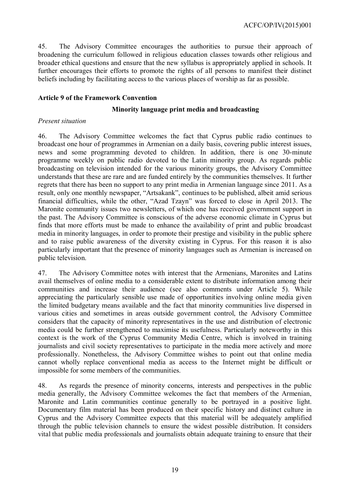45. The Advisory Committee encourages the authorities to pursue their approach of broadening the curriculum followed in religious education classes towards other religious and broader ethical questions and ensure that the new syllabus is appropriately applied in schools. It further encourages their efforts to promote the rights of all persons to manifest their distinct beliefs including by facilitating access to the various places of worship as far as possible.

## <span id="page-18-0"></span>**Article 9 of the Framework Convention**

#### **Minority language print media and broadcasting**

#### *Present situation*

46. The Advisory Committee welcomes the fact that Cyprus public radio continues to broadcast one hour of programmes in Armenian on a daily basis, covering public interest issues, news and some programming devoted to children. In addition, there is one 30-minute programme weekly on public radio devoted to the Latin minority group. As regards public broadcasting on television intended for the various minority groups, the Advisory Committee understands that these are rare and are funded entirely by the communities themselves. It further regrets that there has been no support to any print media in Armenian language since 2011. As a result, only one monthly newspaper, "Artsakank", continues to be published, albeit amid serious financial difficulties, while the other, "Azad Tzayn" was forced to close in April 2013. The Maronite community issues two newsletters, of which one has received government support in the past. The Advisory Committee is conscious of the adverse economic climate in Cyprus but finds that more efforts must be made to enhance the availability of print and public broadcast media in minority languages, in order to promote their prestige and visibility in the public sphere and to raise public awareness of the diversity existing in Cyprus. For this reason it is also particularly important that the presence of minority languages such as Armenian is increased on public television.

47. The Advisory Committee notes with interest that the Armenians, Maronites and Latins avail themselves of online media to a considerable extent to distribute information among their communities and increase their audience (see also comments under Article 5). While appreciating the particularly sensible use made of opportunities involving online media given the limited budgetary means available and the fact that minority communities live dispersed in various cities and sometimes in areas outside government control, the Advisory Committee considers that the capacity of minority representatives in the use and distribution of electronic media could be further strengthened to maximise its usefulness. Particularly noteworthy in this context is the work of the Cyprus Community Media Centre, which is involved in training journalists and civil society representatives to participate in the media more actively and more professionally. Nonetheless, the Advisory Committee wishes to point out that online media cannot wholly replace conventional media as access to the Internet might be difficult or impossible for some members of the communities.

48. As regards the presence of minority concerns, interests and perspectives in the public media generally, the Advisory Committee welcomes the fact that members of the Armenian, Maronite and Latin communities continue generally to be portrayed in a positive light. Documentary film material has been produced on their specific history and distinct culture in Cyprus and the Advisory Committee expects that this material will be adequately amplified through the public television channels to ensure the widest possible distribution. It considers vital that public media professionals and journalists obtain adequate training to ensure that their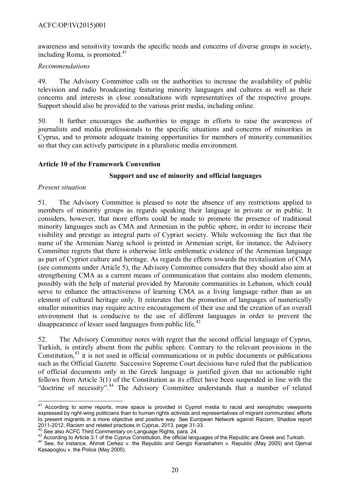awareness and sensitivity towards the specific needs and concerns of diverse groups in society, including Roma, is promoted. $41$ 

## *Recommendations*

49. The Advisory Committee calls on the authorities to increase the availability of public television and radio broadcasting featuring minority languages and cultures as well as their concerns and interests in close consultations with representatives of the respective groups. Support should also be provided to the various print media, including online.

50. It further encourages the authorities to engage in efforts to raise the awareness of journalists and media professionals to the specific situations and concerns of minorities in Cyprus, and to promote adequate training opportunities for members of minority communities so that they can actively participate in a pluralistic media environment.

## <span id="page-19-0"></span>**Article 10 of the Framework Convention**

## **Support and use of minority and official languages**

#### *Present situation*

51. The Advisory Committee is pleased to note the absence of any restrictions applied to members of minority groups as regards speaking their language in private or in public. It considers, however, that more efforts could be made to promote the presence of traditional minority languages such as CMA and Armenian in the public sphere, in order to increase their visibility and prestige as integral parts of Cypriot society. While welcoming the fact that the name of the Armenian Nareg school is printed in Armenian script, for instance, the Advisory Committee regrets that there is otherwise little emblematic evidence of the Armenian language as part of Cypriot culture and heritage. As regards the efforts towards the revitalisation of CMA (see comments under Article 5), the Advisory Committee considers that they should also aim at strengthening CMA as a current means of communication that contains also modern elements, possibly with the help of material provided by Maronite communities in Lebanon, which could serve to enhance the attractiveness of learning CMA as a living language rather than as an element of cultural heritage only. It reiterates that the promotion of languages of numerically smaller minorities may require active encouragement of their use and the creation of an overall environment that is conducive to the use of different languages in order to prevent the disappearance of lesser used languages from public life.<sup>[42](#page-19-2)</sup>

52. The Advisory Committee notes with regret that the second official language of Cyprus, Turkish, is entirely absent from the public sphere. Contrary to the relevant provisions in the Constitution, $43$  it is not used in official communications or in public documents or publications such as the Official Gazette. Successive Supreme Court decisions have ruled that the publication of official documents only in the Greek language is justified given that no actionable right follows from Article 3(1) of the Constitution as its effect have been suspended in line with the "doctrine of necessity".<sup>[44](#page-19-4)</sup> The Advisory Committee understands that a number of related

<span id="page-19-1"></span> $\overline{\phantom{a}}$ <sup>41</sup> According to some reports, more space is provided in Cypriot media to racist and xenophobic viewpoints expressed by right-wing politicians than to human rights activists and representatives of migrant communities' efforts to present migrants in a more objective and positive way. See European Network against Racism, Shadow report 2011-2012, Racism and related practices in Cyprus, 2013, page 31-33.

<span id="page-19-2"></span><sup>&</sup>lt;sup>42</sup> See also ACFC Third Commentary on Language Rights, para. 24.

<span id="page-19-3"></span><sup>43</sup> According to Article 3.1 of the Cyprus Constitution, the official languages of the Republic are Greek and Turkish.

<span id="page-19-4"></span><sup>&</sup>lt;sup>44</sup> See, for instance, Ahmet Cerkez v. the Republic and Gengiz Karashahim v. Republic (May 2005) and Djemal Kasapoglou v. the Police (May 2005).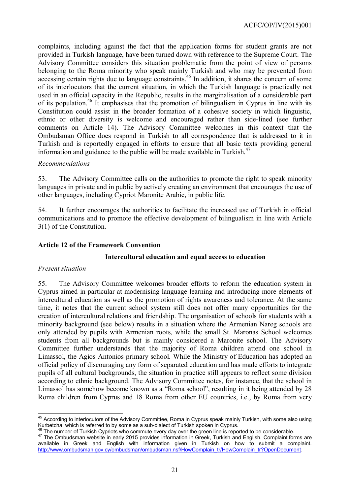complaints, including against the fact that the application forms for student grants are not provided in Turkish language, have been turned down with reference to the Supreme Court. The Advisory Committee considers this situation problematic from the point of view of persons belonging to the Roma minority who speak mainly Turkish and who may be prevented from accessing certain rights due to language constraints.<sup>[45](#page-20-1)</sup> In addition, it shares the concern of some of its interlocutors that the current situation, in which the Turkish language is practically not used in an official capacity in the Republic, results in the marginalisation of a considerable part of its population.<sup>[46](#page-20-2)</sup> It emphasises that the promotion of bilingualism in Cyprus in line with its Constitution could assist in the broader formation of a cohesive society in which linguistic, ethnic or other diversity is welcome and encouraged rather than side-lined (see further comments on Article 14). The Advisory Committee welcomes in this context that the Ombudsman Office does respond in Turkish to all correspondence that is addressed to it in Turkish and is reportedly engaged in efforts to ensure that all basic texts providing general information and guidance to the public will be made available in Turkish.<sup>[47](#page-20-3)</sup>

## *Recommendations*

53. The Advisory Committee calls on the authorities to promote the right to speak minority languages in private and in public by actively creating an environment that encourages the use of other languages, including Cypriot Maronite Arabic, in public life.

54. It further encourages the authorities to facilitate the increased use of Turkish in official communications and to promote the effective development of bilingualism in line with Article 3(1) of the Constitution.

## <span id="page-20-0"></span>**Article 12 of the Framework Convention**

## **Intercultural education and equal access to education**

#### *Present situation*

55. The Advisory Committee welcomes broader efforts to reform the education system in Cyprus aimed in particular at modernising language learning and introducing more elements of intercultural education as well as the promotion of rights awareness and tolerance. At the same time, it notes that the current school system still does not offer many opportunities for the creation of intercultural relations and friendship. The organisation of schools for students with a minority background (see below) results in a situation where the Armenian Nareg schools are only attended by pupils with Armenian roots, while the small St. Maronas School welcomes students from all backgrounds but is mainly considered a Maronite school. The Advisory Committee further understands that the majority of Roma children attend one school in Limassol, the Agios Antonios primary school. While the Ministry of Education has adopted an official policy of discouraging any form of separated education and has made efforts to integrate pupils of all cultural backgrounds, the situation in practice still appears to reflect some division according to ethnic background. The Advisory Committee notes, for instance, that the school in Limassol has somehow become known as a "Roma school", resulting in it being attended by 28 Roma children from Cyprus and 18 Roma from other EU countries, i.e., by Roma from very

<span id="page-20-1"></span>j <sup>45</sup> According to interlocutors of the Advisory Committee, Roma in Cyprus speak mainly Turkish, with some also using Kurbetcha, which is referred to by some as a sub-dialect of Turkish spoken in Cyprus.

<span id="page-20-2"></span> $46$  The number of Turkish Cypriots who commute every day over the green line is reported to be considerable.

<span id="page-20-3"></span><sup>47</sup> The Ombudsman website in early 2015 provides information in Greek, Turkish and English. Complaint forms are available in Greek and English with information given in Turkish on how to submit a complaint. [http://www.ombudsman.gov.cy/ombudsman/ombudsman.nsf/HowComplain\\_tr/HowComplain\\_tr?OpenDocument](http://www.ombudsman.gov.cy/ombudsman/ombudsman.nsf/HowComplain_tr/HowComplain_tr?OpenDocument).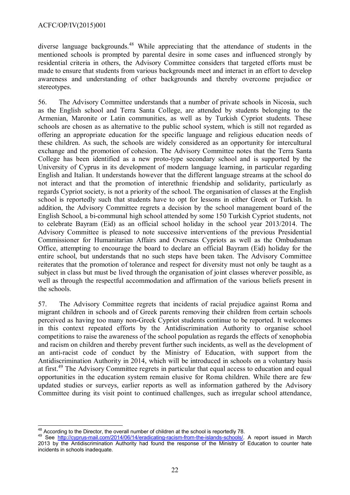diverse language backgrounds.<sup>[48](#page-21-0)</sup> While appreciating that the attendance of students in the mentioned schools is prompted by parental desire in some cases and influenced strongly by residential criteria in others, the Advisory Committee considers that targeted efforts must be made to ensure that students from various backgrounds meet and interact in an effort to develop awareness and understanding of other backgrounds and thereby overcome prejudice or stereotypes.

56. The Advisory Committee understands that a number of private schools in Nicosia, such as the English school and Terra Santa College, are attended by students belonging to the Armenian, Maronite or Latin communities, as well as by Turkish Cypriot students. These schools are chosen as as alternative to the public school system, which is still not regarded as offering an appropriate education for the specific language and religious education needs of these children. As such, the schools are widely considered as an opportunity for intercultural exchange and the promotion of cohesion. The Advisory Committee notes that the Terra Santa College has been identified as a new proto-type secondary school and is supported by the University of Cyprus in its development of modern language learning, in particular regarding English and Italian. It understands however that the different language streams at the school do not interact and that the promotion of interethnic friendship and solidarity, particularly as regards Cypriot society, is not a priority of the school. The organisation of classes at the English school is reportedly such that students have to opt for lessons in either Greek or Turkish. In addition, the Advisory Committee regrets a decision by the school management board of the English School, a bi-communal high school attended by some 150 Turkish Cypriot students, not to celebrate Bayram (Eid) as an official school holiday in the school year 2013/2014. The Advisory Committee is pleased to note successive interventions of the previous Presidential Commissioner for Humanitarian Affairs and Overseas Cypriots as well as the Ombudsman Office, attempting to encourage the board to declare an official Bayram (Eid) holiday for the entire school, but understands that no such steps have been taken. The Advisory Committee reiterates that the promotion of tolerance and respect for diversity must not only be taught as a subject in class but must be lived through the organisation of joint classes wherever possible, as well as through the respectful accommodation and affirmation of the various beliefs present in the schools.

57. The Advisory Committee regrets that incidents of racial prejudice against Roma and migrant children in schools and of Greek parents removing their children from certain schools perceived as having too many non-Greek Cypriot students continue to be reported. It welcomes in this context repeated efforts by the Antidiscrimination Authority to organise school competitions to raise the awareness of the school population as regards the effects of xenophobia and racism on children and thereby prevent further such incidents, as well as the development of an anti-racist code of conduct by the Ministry of Education, with support from the Antidiscrimination Authority in 2014, which will be introduced in schools on a voluntary basis at first.<sup>[49](#page-21-1)</sup> The Advisory Committee regrets in particular that equal access to education and equal opportunities in the education system remain elusive for Roma children. While there are few updated studies or surveys, earlier reports as well as information gathered by the Advisory Committee during its visit point to continued challenges, such as irregular school attendance,

<span id="page-21-0"></span>j  $48$  According to the Director, the overall number of children at the school is reportedly 78.

<span id="page-21-1"></span><sup>49</sup> See [http://cyprus-mail.com/2014/06/14/eradicating-racism-from-the-islands-schools/.](http://cyprus-mail.com/2014/06/14/eradicating-racism-from-the-islands-schools/) A report issued in March 2013 by the Antidiscrimination Authority had found the response of the Ministry of Education to counter hate incidents in schools inadequate.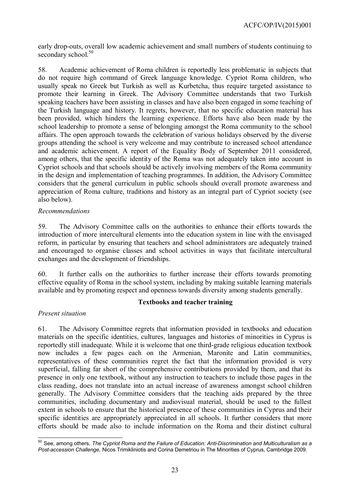early drop-outs, overall low academic achievement and small numbers of students continuing to secondary school.<sup>[50](#page-22-0)</sup>

58. Academic achievement of Roma children is reportedly less problematic in subjects that do not require high command of Greek language knowledge. Cypriot Roma children, who usually speak no Greek but Turkish as well as Kurbetcha, thus require targeted assistance to promote their learning in Greek. The Advisory Committee understands that two Turkish speaking teachers have been assisting in classes and have also been engaged in some teaching of the Turkish language and history. It regrets, however, that no specific education material has been provided, which hinders the learning experience. Efforts have also been made by the school leadership to promote a sense of belonging amongst the Roma community to the school affairs. The open approach towards the celebration of various holidays observed by the diverse groups attending the school is very welcome and may contribute to increased school attendance and academic achievement. A report of the Equality Body of September 2011 considered, among others, that the specific identity of the Roma was not adequately taken into account in Cypriot schools and that schools should be actively involving members of the Roma community in the design and implementation of teaching programmes. In addition, the Advisory Committee considers that the general curriculum in public schools should overall promote awareness and appreciation of Roma culture, traditions and history as an integral part of Cypriot society (see also below).

## *Recommendations*

59. The Advisory Committee calls on the authorities to enhance their efforts towards the introduction of more intercultural elements into the education system in line with the envisaged reform, in particular by ensuring that teachers and school administrators are adequately trained and encouraged to organise classes and school activities in ways that facilitate intercultural exchanges and the development of friendships.

60. It further calls on the authorities to further increase their efforts towards promoting effective equality of Roma in the school system, including by making suitable learning materials available and by promoting respect and openness towards diversity among students generally.

## **Textbooks and teacher training**

## *Present situation*

61. The Advisory Committee regrets that information provided in textbooks and education materials on the specific identities, cultures, languages and histories of minorities in Cyprus is reportedly still inadequate. While it is welcome that one third-grade religious education textbook now includes a few pages each on the Armenian, Maronite and Latin communities, representatives of these communities regret the fact that the information provided is very superficial, falling far short of the comprehensive contributions provided by them, and that its presence in only one textbook, without any instruction to teachers to include those pages in the class reading, does not translate into an actual increase of awareness amongst school children generally. The Advisory Committee considers that the teaching aids prepared by the three communities, including documentary and audiovisual material, should be used to the fullest extent in schools to ensure that the historical presence of these communities in Cyprus and their specific identities are appropriately appreciated in all schools. It further considers that more efforts should be made also to include information on the Roma and their distinct cultural

<span id="page-22-0"></span> $\overline{a}$ <sup>50</sup> See, among others, *The Cypriot Roma and the Failure of Education: Anti-Discrimination and Multiculturalism as a Post-accession Challenge,* Nicos Trimikliniotis and Corina Demetriou in The Minorities of Cyprus, Cambridge 2009.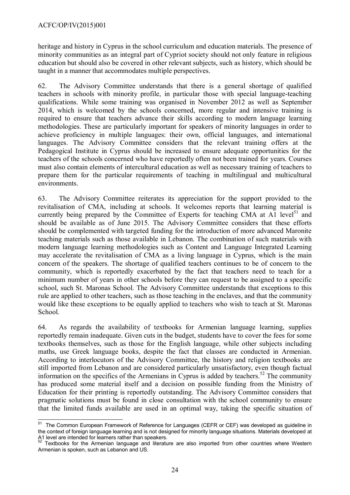heritage and history in Cyprus in the school curriculum and education materials. The presence of minority communities as an integral part of Cypriot society should not only feature in religious education but should also be covered in other relevant subjects, such as history, which should be taught in a manner that accommodates multiple perspectives.

62. The Advisory Committee understands that there is a general shortage of qualified teachers in schools with minority profile, in particular those with special language-teaching qualifications. While some training was organised in November 2012 as well as September 2014, which is welcomed by the schools concerned, more regular and intensive training is required to ensure that teachers advance their skills according to modern language learning methodologies. These are particularly important for speakers of minority languages in order to achieve proficiency in multiple languages: their own, official languages, and international languages. The Advisory Committee considers that the relevant training offers at the Pedagogical Institute in Cyprus should be increased to ensure adequate opportunities for the teachers of the schools concerned who have reportedly often not been trained for years. Courses must also contain elements of intercultural education as well as necessary training of teachers to prepare them for the particular requirements of teaching in multilingual and multicultural environments.

63. The Advisory Committee reiterates its appreciation for the support provided to the revitalisation of CMA, including at schools. It welcomes reports that learning material is currently being prepared by the Committee of Experts for teaching CMA at A1 level<sup>[51](#page-23-0)</sup> and should be available as of June 2015. The Advisory Committee considers that these efforts should be complemented with targeted funding for the introduction of more advanced Maronite teaching materials such as those available in Lebanon. The combination of such materials with modern language learning methodologies such as Content and Language Integrated Learning may accelerate the revitalisation of CMA as a living language in Cyprus, which is the main concern of the speakers. The shortage of qualified teachers continues to be of concern to the community, which is reportedly exacerbated by the fact that teachers need to teach for a minimum number of years in other schools before they can request to be assigned to a specific school, such St. Maronas School. The Advisory Committee understands that exceptions to this rule are applied to other teachers, such as those teaching in the enclaves, and that the community would like these exceptions to be equally applied to teachers who wish to teach at St. Maronas School.

64. As regards the availability of textbooks for Armenian language learning, supplies reportedly remain inadequate. Given cuts in the budget, students have to cover the fees for some textbooks themselves, such as those for the English language, while other subjects including maths, use Greek language books, despite the fact that classes are conducted in Armenian. According to interlocutors of the Advisory Committee, the history and religion textbooks are still imported from Lebanon and are considered particularly unsatisfactory, even though factual information on the specifics of the Armenians in Cyprus is added by teachers.<sup>[52](#page-23-1)</sup> The community has produced some material itself and a decision on possible funding from the Ministry of Education for their printing is reportedly outstanding. The Advisory Committee considers that pragmatic solutions must be found in close consultation with the school community to ensure that the limited funds available are used in an optimal way, taking the specific situation of

<span id="page-23-0"></span>THE COMMON EUROPEAN FRAME CONSIDED THE COMMON CONSERVATION CONSERVATION CONSIDED IN THE COMMON European Framework of Reference for Languages (CEFR or CEF) was developed as guideline in the context of foreign language learning and is not designed for minority language situations. Materials developed at A1 level are intended for learners rather than speakers.

<span id="page-23-1"></span>Textbooks for the Armenian language and literature are also imported from other countries where Western Armenian is spoken, such as Lebanon and US.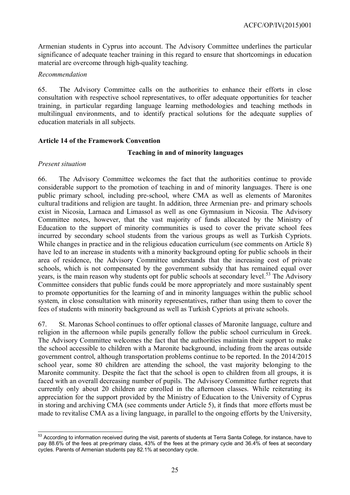Armenian students in Cyprus into account. The Advisory Committee underlines the particular significance of adequate teacher training in this regard to ensure that shortcomings in education material are overcome through high-quality teaching.

## *Recommendation*

65. The Advisory Committee calls on the authorities to enhance their efforts in close consultation with respective school representatives, to offer adequate opportunities for teacher training, in particular regarding language learning methodologies and teaching methods in multilingual environments, and to identify practical solutions for the adequate supplies of education materials in all subjects.

## <span id="page-24-0"></span>**Article 14 of the Framework Convention**

## **Teaching in and of minority languages**

## *Present situation*

66. The Advisory Committee welcomes the fact that the authorities continue to provide considerable support to the promotion of teaching in and of minority languages. There is one public primary school, including pre-school, where CMA as well as elements of Maronites cultural traditions and religion are taught. In addition, three Armenian pre- and primary schools exist in Nicosia, Larnaca and Limassol as well as one Gymnasium in Nicosia. The Advisory Committee notes, however, that the vast majority of funds allocated by the Ministry of Education to the support of minority communities is used to cover the private school fees incurred by secondary school students from the various groups as well as Turkish Cypriots. While changes in practice and in the religious education curriculum (see comments on Article 8) have led to an increase in students with a minority background opting for public schools in their area of residence, the Advisory Committee understands that the increasing cost of private schools, which is not compensated by the government subsidy that has remained equal over years, is the main reason why students opt for public schools at secondary level.<sup>[53](#page-24-1)</sup> The Advisory Committee considers that public funds could be more appropriately and more sustainably spent to promote opportunities for the learning of and in minority languages within the public school system, in close consultation with minority representatives, rather than using them to cover the fees of students with minority background as well as Turkish Cypriots at private schools.

67. St. Maronas School continues to offer optional classes of Maronite language, culture and religion in the afternoon while pupils generally follow the public school curriculum in Greek. The Advisory Committee welcomes the fact that the authorities maintain their support to make the school accessible to children with a Maronite background, including from the areas outside government control, although transportation problems continue to be reported. In the 2014/2015 school year, some 80 children are attending the school, the vast majority belonging to the Maronite community. Despite the fact that the school is open to children from all groups, it is faced with an overall decreasing number of pupils. The Advisory Committee further regrets that currently only about 20 children are enrolled in the afternoon classes. While reiterating its appreciation for the support provided by the Ministry of Education to the University of Cyprus in storing and archiving CMA (see comments under Article 5), it finds that more efforts must be made to revitalise CMA as a living language, in parallel to the ongoing efforts by the University,

<span id="page-24-1"></span> $\overline{a}$  $53$  According to information received during the visit, parents of students at Terra Santa College, for instance, have to pay 88.6% of the fees at pre-primary class, 43% of the fees at the primary cycle and 36.4% of fees at secondary cycles. Parents of Armenian students pay 82.1% at secondary cycle.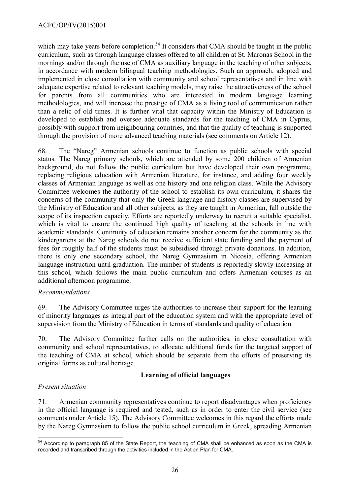which may take years before completion.<sup>[54](#page-25-0)</sup> It considers that CMA should be taught in the public curriculum, such as through language classes offered to all children at St. Maronas School in the mornings and/or through the use of CMA as auxiliary language in the teaching of other subjects, in accordance with modern bilingual teaching methodologies. Such an approach, adopted and implemented in close consultation with community and school representatives and in line with adequate expertise related to relevant teaching models, may raise the attractiveness of the school for parents from all communities who are interested in modern language learning methodologies, and will increase the prestige of CMA as a living tool of communication rather than a relic of old times. It is further vital that capacity within the Ministry of Education is developed to establish and oversee adequate standards for the teaching of CMA in Cyprus, possibly with support from neighbouring countries, and that the quality of teaching is supported through the provision of more advanced teaching materials (see comments on Article 12).

68. The "Nareg" Armenian schools continue to function as public schools with special status. The Nareg primary schools, which are attended by some 200 children of Armenian background, do not follow the public curriculum but have developed their own programme, replacing religious education with Armenian literature, for instance, and adding four weekly classes of Armenian language as well as one history and one religion class. While the Advisory Committee welcomes the authority of the school to establish its own curriculum, it shares the concerns of the community that only the Greek language and history classes are supervised by the Ministry of Education and all other subjects, as they are taught in Armenian, fall outside the scope of its inspection capacity. Efforts are reportedly underway to recruit a suitable specialist, which is vital to ensure the continued high quality of teaching at the schools in line with academic standards. Continuity of education remains another concern for the community as the kindergartens at the Nareg schools do not receive sufficient state funding and the payment of fees for roughly half of the students must be subsidised through private donations. In addition, there is only one secondary school, the Nareg Gymnasium in Nicosia, offering Armenian language instruction until graduation. The number of students is reportedly slowly increasing at this school, which follows the main public curriculum and offers Armenian courses as an additional afternoon programme.

## *Recommendations*

69. The Advisory Committee urges the authorities to increase their support for the learning of minority languages as integral part of the education system and with the appropriate level of supervision from the Ministry of Education in terms of standards and quality of education.

70. The Advisory Committee further calls on the authorities, in close consultation with community and school representatives, to allocate additional funds for the targeted support of the teaching of CMA at school, which should be separate from the efforts of preserving its original forms as cultural heritage.

## **Learning of official languages**

## *Present situation*

71. Armenian community representatives continue to report disadvantages when proficiency in the official language is required and tested, such as in order to enter the civil service (see comments under Article 15). The Advisory Committee welcomes in this regard the efforts made by the Nareg Gymnasium to follow the public school curriculum in Greek, spreading Armenian

<span id="page-25-0"></span> $\overline{a}$ <sup>54</sup> According to paragraph 85 of the State Report, the teaching of CMA shall be enhanced as soon as the CMA is recorded and transcribed through the activities included in the Action Plan for CMA.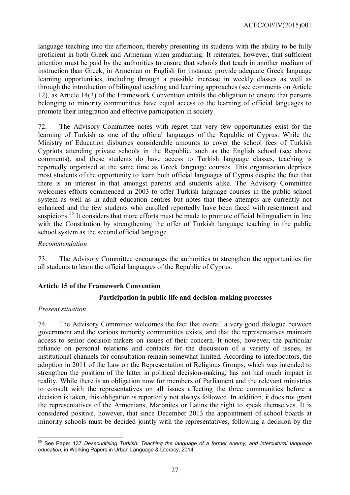language teaching into the afternoon, thereby presenting its students with the ability to be fully proficient in both Greek and Armenian when graduating. It reiterates, however, that sufficient attention must be paid by the authorities to ensure that schools that teach in another medium of instruction than Greek, in Armenian or English for instance, provide adequate Greek language learning opportunities, including through a possible increase in weekly classes as well as through the introduction of bilingual teaching and learning approaches (see comments on Article 12), as Article 14(3) of the Framework Convention entails the obligation to ensure that persons belonging to minority communities have equal access to the learning of official languages to promote their integration and effective participation in society.

72. The Advisory Committee notes with regret that very few opportunities exist for the learning of Turkish as one of the official languages of the Republic of Cyprus. While the Ministry of Education disburses considerable amounts to cover the school fees of Turkish Cypriots attending private schools in the Republic, such as the English school (see above comments), and these students do have access to Turkish language classes, teaching is reportedly organised at the same time as Greek language courses. This organisation deprives most students of the opportunity to learn both official languages of Cyprus despite the fact that there is an interest in that amongst parents and students alike. The Advisory Committee welcomes efforts commenced in 2003 to offer Turkish language courses in the public school system as well as in adult education centres but notes that these attempts are currently not enhanced and the few students who enrolled reportedly have been faced with resentment and suspicions.<sup>[55](#page-26-1)</sup> It considers that more efforts must be made to promote official bilingualism in line with the Constitution by strengthening the offer of Turkish language teaching in the public school system as the second official language.

## *Recommendation*

73. The Advisory Committee encourages the authorities to strengthen the opportunities for all students to learn the official languages of the Republic of Cyprus.

## <span id="page-26-0"></span>**Article 15 of the Framework Convention**

## **Participation in public life and decision-making processes**

#### *Present situation*

74. The Advisory Committee welcomes the fact that overall a very good dialogue between government and the various minority communities exists, and that the representatives maintain access to senior decision-makers on issues of their concern. It notes, however, the particular reliance on personal relations and contacts for the discussion of a variety of issues, as institutional channels for consultation remain somewhat limited. According to interlocutors, the adoption in 2011 of the Law on the Representation of Religious Groups, which was intended to strengthen the position of the latter in political decision-making, has not had much impact in reality. While there is an obligation now for members of Parliament and the relevant ministries to consult with the representatives on all issues affecting the three communities before a decision is taken, this obligation is reportedly not always followed. In addition, it does not grant the representatives of the Armenians, Maronites or Latins the right to speak themselves. It is considered positive, however, that since December 2013 the appointment of school boards at minority schools must be decided jointly with the representatives, following a decision by the

<span id="page-26-1"></span> $\overline{a}$ <sup>55</sup> See Paper 137 *Desecuritising Turkish: Teaching the language of a former enemy, and intercultural language education,* in Working Papers in Urban Language & Literacy, 2014.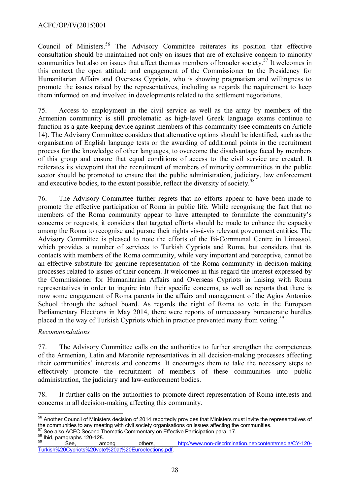## ACFC/OP/IV(2015)001

Council of Ministers.<sup>[56](#page-27-0)</sup> The Advisory Committee reiterates its position that effective consultation should be maintained not only on issues that are of exclusive concern to minority communities but also on issues that affect them as members of broader society. [57](#page-27-1) It welcomes in this context the open attitude and engagement of the Commissioner to the Presidency for Humanitarian Affairs and Overseas Cypriots, who is showing pragmatism and willingness to promote the issues raised by the representatives, including as regards the requirement to keep them informed on and involved in developments related to the settlement negotiations.

75. Access to employment in the civil service as well as the army by members of the Armenian community is still problematic as high-level Greek language exams continue to function as a gate-keeping device against members of this community (see comments on Article 14). The Advisory Committee considers that alternative options should be identified, such as the organisation of English language tests or the awarding of additional points in the recruitment process for the knowledge of other languages, to overcome the disadvantage faced by members of this group and ensure that equal conditions of access to the civil service are created. It reiterates its viewpoint that the recruitment of members of minority communities in the public sector should be promoted to ensure that the public administration, judiciary, law enforcement and executive bodies, to the extent possible, reflect the diversity of society.<sup>[58](#page-27-2)</sup>

76. The Advisory Committee further regrets that no efforts appear to have been made to promote the effective participation of Roma in public life. While recognising the fact that no members of the Roma community appear to have attempted to formulate the community's concerns or requests, it considers that targeted efforts should be made to enhance the capacity among the Roma to recognise and pursue their rights vis-à-vis relevant government entities. The Advisory Committee is pleased to note the efforts of the Bi-Communal Centre in Limassol, which provides a number of services to Turkish Cypriots and Roma, but considers that its contacts with members of the Roma community, while very important and perceptive, cannot be an effective substitute for genuine representation of the Roma community in decision-making processes related to issues of their concern. It welcomes in this regard the interest expressed by the Commissioner for Humanitarian Affairs and Overseas Cypriots in liaising with Roma representatives in order to inquire into their specific concerns, as well as reports that there is now some engagement of Roma parents in the affairs and management of the Agios Antonios School through the school board. As regards the right of Roma to vote in the European Parliamentary Elections in May 2014, there were reports of unnecessary bureaucratic hurdles placed in the way of Turkish Cypriots which in practice prevented many from voting.<sup>[59](#page-27-3)</sup>

## *Recommendations*

77. The Advisory Committee calls on the authorities to further strengthen the competences of the Armenian, Latin and Maronite representatives in all decision-making processes affecting their communities' interests and concerns. It encourages them to take the necessary steps to effectively promote the recruitment of members of these communities into public administration, the judiciary and law-enforcement bodies.

78. It further calls on the authorities to promote direct representation of Roma interests and concerns in all decision-making affecting this community.

<span id="page-27-2"></span><span id="page-27-1"></span> $\frac{58}{59}$  Ibid, paragraphs 120-128.

<span id="page-27-0"></span> $\overline{a}$ <sup>56</sup> Another Council of Ministers decision of 2014 reportedly provides that Ministers must invite the representatives of the communities to any meeting with civil society organisations on issues affecting the communities. 57 See also ACFC Second Thematic Commentary on Effective Participation para. 17.

<span id="page-27-3"></span><sup>59</sup> See, among others, [http://www.non-discrimination.net/content/media/CY-120-](http://www.non-discrimination.net/content/media/CY-120-Turkish%20Cypriots%20vote%20at%20Euroelections.pdf) [Turkish%20Cypriots%20vote%20at%20Euroelections.pdf.](http://www.non-discrimination.net/content/media/CY-120-Turkish%20Cypriots%20vote%20at%20Euroelections.pdf)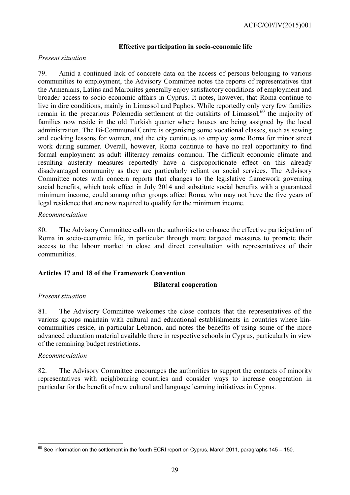## **Effective participation in socio-economic life**

## *Present situation*

79. Amid a continued lack of concrete data on the access of persons belonging to various communities to employment, the Advisory Committee notes the reports of representatives that the Armenians, Latins and Maronites generally enjoy satisfactory conditions of employment and broader access to socio-economic affairs in Cyprus. It notes, however, that Roma continue to live in dire conditions, mainly in Limassol and Paphos. While reportedly only very few families remain in the precarious Polemedia settlement at the outskirts of Limassol,<sup>[60](#page-28-1)</sup> the majority of families now reside in the old Turkish quarter where houses are being assigned by the local administration. The Bi-Communal Centre is organising some vocational classes, such as sewing and cooking lessons for women, and the city continues to employ some Roma for minor street work during summer. Overall, however, Roma continue to have no real opportunity to find formal employment as adult illiteracy remains common. The difficult economic climate and resulting austerity measures reportedly have a disproportionate effect on this already disadvantaged community as they are particularly reliant on social services. The Advisory Committee notes with concern reports that changes to the legislative framework governing social benefits, which took effect in July 2014 and substitute social benefits with a guaranteed minimum income, could among other groups affect Roma, who may not have the five years of legal residence that are now required to qualify for the minimum income.

## *Recommendation*

80. The Advisory Committee calls on the authorities to enhance the effective participation of Roma in socio-economic life, in particular through more targeted measures to promote their access to the labour market in close and direct consultation with representatives of their communities.

## <span id="page-28-0"></span>**Articles 17 and 18 of the Framework Convention**

#### **Bilateral cooperation**

## *Present situation*

81. The Advisory Committee welcomes the close contacts that the representatives of the various groups maintain with cultural and educational establishments in countries where kincommunities reside, in particular Lebanon, and notes the benefits of using some of the more advanced education material available there in respective schools in Cyprus, particularly in view of the remaining budget restrictions.

#### *Recommendation*

82. The Advisory Committee encourages the authorities to support the contacts of minority representatives with neighbouring countries and consider ways to increase cooperation in particular for the benefit of new cultural and language learning initiatives in Cyprus.

<span id="page-28-1"></span> $\overline{a}$  $^{60}$  See information on the settlement in the fourth ECRI report on Cyprus, March 2011, paragraphs 145 – 150.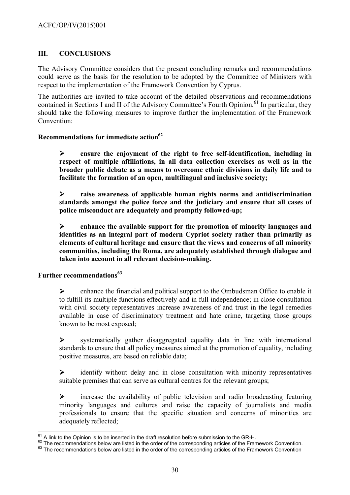# <span id="page-29-2"></span>**III. CONCLUSIONS**

The Advisory Committee considers that the present concluding remarks and recommendations could serve as the basis for the resolution to be adopted by the Committee of Ministers with respect to the implementation of the Framework Convention by Cyprus.

The authorities are invited to take account of the detailed observations and recommendations contained in Sections I and II of the Advisory Committee's Fourth Opinion.<sup>[61](#page-29-3)</sup> In particular, they should take the following measures to improve further the implementation of the Framework Convention:

## <span id="page-29-1"></span>**Recommendations for immediate action[62](#page-29-4)**

 **ensure the enjoyment of the right to free self-identification, including in respect of multiple affiliations, in all data collection exercises as well as in the broader public debate as a means to overcome ethnic divisions in daily life and to facilitate the formation of an open, multilingual and inclusive society;**

 **raise awareness of applicable human rights norms and antidiscrimination standards amongst the police force and the judiciary and ensure that all cases of police misconduct are adequately and promptly followed-up;**

 **enhance the available support for the promotion of minority languages and identities as an integral part of modern Cypriot society rather than primarily as elements of cultural heritage and ensure that the views and concerns of all minority communities, including the Roma, are adequately established through dialogue and taken into account in all relevant decision-making.**

## <span id="page-29-0"></span>**Further recommendations[63](#page-29-5)**

 enhance the financial and political support to the Ombudsman Office to enable it to fulfill its multiple functions effectively and in full independence; in close consultation with civil society representatives increase awareness of and trust in the legal remedies available in case of discriminatory treatment and hate crime, targeting those groups known to be most exposed;

 systematically gather disaggregated equality data in line with international standards to ensure that all policy measures aimed at the promotion of equality, including positive measures, are based on reliable data;

 identify without delay and in close consultation with minority representatives suitable premises that can serve as cultural centres for the relevant groups;

 $\triangleright$  increase the availability of public television and radio broadcasting featuring minority languages and cultures and raise the capacity of journalists and media professionals to ensure that the specific situation and concerns of minorities are adequately reflected;

 $\overline{a}$  $^{61}$  A link to the Opinion is to be inserted in the draft resolution before submission to the GR-H.

<span id="page-29-4"></span><span id="page-29-3"></span><sup>&</sup>lt;sup>62</sup> The recommendations below are listed in the order of the corresponding articles of the Framework Convention.

<span id="page-29-5"></span><sup>&</sup>lt;sup>63</sup> The recommendations below are listed in the order of the corresponding articles of the Framework Convention